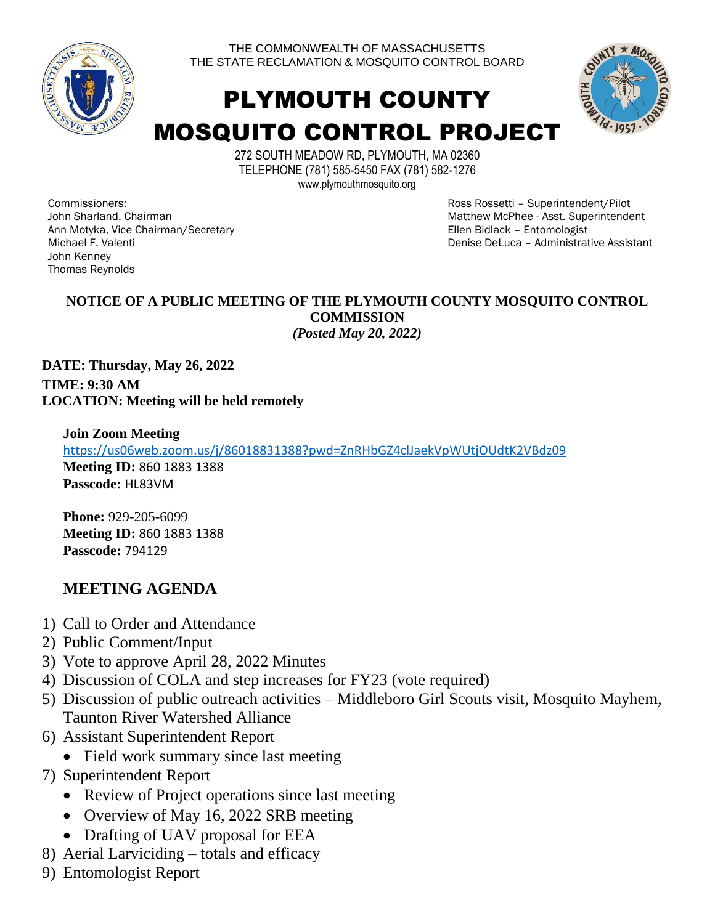

THE COMMONWEALTH OF MASSACHUSETTS THE STATE RECLAMATION & MOSQUITO CONTROL BOARD

# PLYMOUTH COUNTY MOSQUITO CONTROL PROJECT



272 SOUTH MEADOW RD, PLYMOUTH, MA 02360 TELEPHONE (781) 585-5450 FAX (781) 582-1276 www.plymouthmosquito.org

Commissioners: John Sharland, Chairman Ann Motyka, Vice Chairman/Secretary Michael F. Valenti John Kenney Thomas Reynolds

Ross Rossetti – Superintendent/Pilot Matthew McPhee - Asst. Superintendent Ellen Bidlack – Entomologist Denise DeLuca – Administrative Assistant

#### **NOTICE OF A PUBLIC MEETING OF THE PLYMOUTH COUNTY MOSQUITO CONTROL COMMISSION**  *(Posted May 20, 2022)*

**DATE: Thursday, May 26, 2022 TIME: 9:30 AM LOCATION: Meeting will be held remotely**

**Join Zoom Meeting**  <https://us06web.zoom.us/j/86018831388?pwd=ZnRHbGZ4clJaekVpWUtjOUdtK2VBdz09> **Meeting ID:** 860 1883 1388 **Passcode:** HL83VM

**Phone:** 929-205-6099 **Meeting ID:** 860 1883 1388 **Passcode:** 794129

### **MEETING AGENDA**

- 1) Call to Order and Attendance
- 2) Public Comment/Input
- 3) Vote to approve April 28, 2022 Minutes
- 4) Discussion of COLA and step increases for FY23 (vote required)
- 5) Discussion of public outreach activities Middleboro Girl Scouts visit, Mosquito Mayhem, Taunton River Watershed Alliance
- 6) Assistant Superintendent Report
	- Field work summary since last meeting
- 7) Superintendent Report
	- Review of Project operations since last meeting
	- Overview of May 16, 2022 SRB meeting
	- Drafting of UAV proposal for EEA
- 8) Aerial Larviciding totals and efficacy
- 9) Entomologist Report